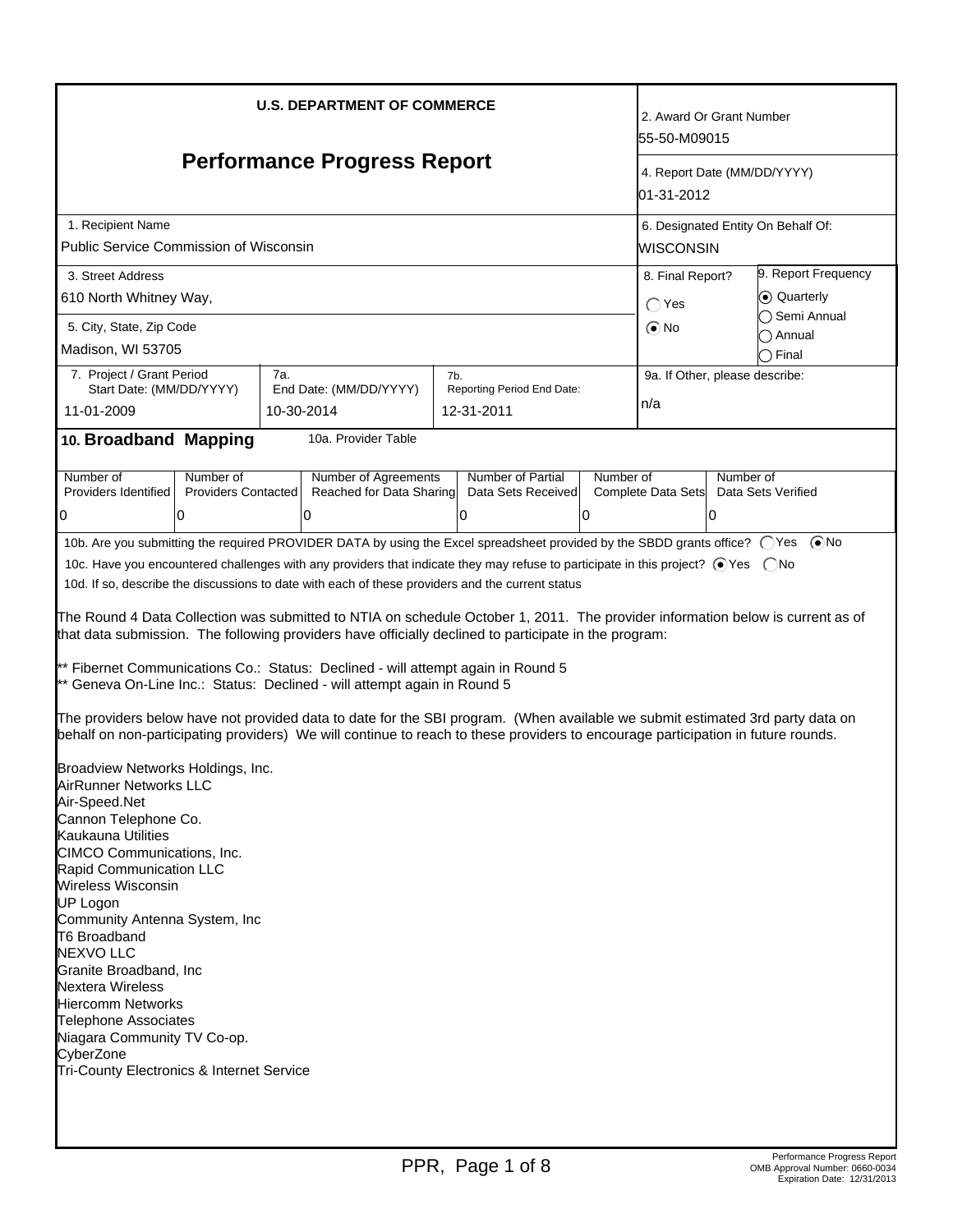| <b>U.S. DEPARTMENT OF COMMERCE</b>                                                                                                                                                                                                                                                                                                                                                                                                                                                                                                                                                                                                                                                                                                                                                                                                                                                                                                                                                                                                                                                                                                                                                                                                                                                                                                                                                                                                                                                                                                                                           | 2. Award Or Grant Number<br>55-50-M09015                                                    |                                                     |                    |                                       |  |  |
|------------------------------------------------------------------------------------------------------------------------------------------------------------------------------------------------------------------------------------------------------------------------------------------------------------------------------------------------------------------------------------------------------------------------------------------------------------------------------------------------------------------------------------------------------------------------------------------------------------------------------------------------------------------------------------------------------------------------------------------------------------------------------------------------------------------------------------------------------------------------------------------------------------------------------------------------------------------------------------------------------------------------------------------------------------------------------------------------------------------------------------------------------------------------------------------------------------------------------------------------------------------------------------------------------------------------------------------------------------------------------------------------------------------------------------------------------------------------------------------------------------------------------------------------------------------------------|---------------------------------------------------------------------------------------------|-----------------------------------------------------|--------------------|---------------------------------------|--|--|
| <b>Performance Progress Report</b>                                                                                                                                                                                                                                                                                                                                                                                                                                                                                                                                                                                                                                                                                                                                                                                                                                                                                                                                                                                                                                                                                                                                                                                                                                                                                                                                                                                                                                                                                                                                           | 4. Report Date (MM/DD/YYYY)<br>01-31-2012                                                   |                                                     |                    |                                       |  |  |
| 1. Recipient Name<br>Public Service Commission of Wisconsin                                                                                                                                                                                                                                                                                                                                                                                                                                                                                                                                                                                                                                                                                                                                                                                                                                                                                                                                                                                                                                                                                                                                                                                                                                                                                                                                                                                                                                                                                                                  | 6. Designated Entity On Behalf Of:<br>lwisconsin                                            |                                                     |                    |                                       |  |  |
| 3. Street Address<br>610 North Whitney Way,                                                                                                                                                                                                                                                                                                                                                                                                                                                                                                                                                                                                                                                                                                                                                                                                                                                                                                                                                                                                                                                                                                                                                                                                                                                                                                                                                                                                                                                                                                                                  | 8. Final Report?<br>$\bigcap$ Yes                                                           | 9. Report Frequency<br>C Quarterly<br>◯ Semi Annual |                    |                                       |  |  |
| 5. City, State, Zip Code<br>Madison, WI 53705                                                                                                                                                                                                                                                                                                                                                                                                                                                                                                                                                                                                                                                                                                                                                                                                                                                                                                                                                                                                                                                                                                                                                                                                                                                                                                                                                                                                                                                                                                                                |                                                                                             |                                                     | $\odot$ No         | Annual<br>◯ Final                     |  |  |
| 7. Project / Grant Period<br>7a.<br>Start Date: (MM/DD/YYYY)<br>11-01-2009                                                                                                                                                                                                                                                                                                                                                                                                                                                                                                                                                                                                                                                                                                                                                                                                                                                                                                                                                                                                                                                                                                                                                                                                                                                                                                                                                                                                                                                                                                   | 7b.<br>Reporting Period End Date:<br>End Date: (MM/DD/YYYY)<br>10-30-2014<br>12-31-2011     |                                                     |                    | 9a. If Other, please describe:<br>n/a |  |  |
| 10. Broadband Mapping                                                                                                                                                                                                                                                                                                                                                                                                                                                                                                                                                                                                                                                                                                                                                                                                                                                                                                                                                                                                                                                                                                                                                                                                                                                                                                                                                                                                                                                                                                                                                        | 10a. Provider Table                                                                         |                                                     |                    |                                       |  |  |
| Number of<br>Number of<br>Number of Agreements<br><b>Providers Contacted</b><br>Providers Identified<br>10<br>0<br>0                                                                                                                                                                                                                                                                                                                                                                                                                                                                                                                                                                                                                                                                                                                                                                                                                                                                                                                                                                                                                                                                                                                                                                                                                                                                                                                                                                                                                                                         | Number of Partial<br>Number of<br>Reached for Data Sharing<br>Data Sets Received<br>0<br>IО | Number of<br>Complete Data Sets<br>10               | Data Sets Verified |                                       |  |  |
| 10b. Are you submitting the required PROVIDER DATA by using the Excel spreadsheet provided by the SBDD grants office? ○ Yes ● No<br>10c. Have you encountered challenges with any providers that indicate they may refuse to participate in this project? ⊙ Yes  ONo<br>10d. If so, describe the discussions to date with each of these providers and the current status<br>The Round 4 Data Collection was submitted to NTIA on schedule October 1, 2011. The provider information below is current as of<br>that data submission. The following providers have officially declined to participate in the program:<br>* Fibernet Communications Co.: Status: Declined - will attempt again in Round 5<br>* Geneva On-Line Inc.: Status: Declined - will attempt again in Round 5<br>The providers below have not provided data to date for the SBI program. (When available we submit estimated 3rd party data on<br>behalf on non-participating providers) We will continue to reach to these providers to encourage participation in future rounds.<br>Broadview Networks Holdings, Inc.<br>AirRunner Networks LLC<br>Air-Speed.Net<br>Cannon Telephone Co.<br><b>Kaukauna Utilities</b><br>CIMCO Communications, Inc.<br>Rapid Communication LLC<br><b>Wireless Wisconsin</b><br>UP Logon<br>Community Antenna System, Inc<br>T6 Broadband<br><b>NEXVO LLC</b><br>Granite Broadband, Inc.<br><b>Nextera Wireless</b><br><b>Hiercomm Networks</b><br><b>Telephone Associates</b><br>Niagara Community TV Co-op.<br>CyberZone<br>Tri-County Electronics & Internet Service |                                                                                             |                                                     |                    |                                       |  |  |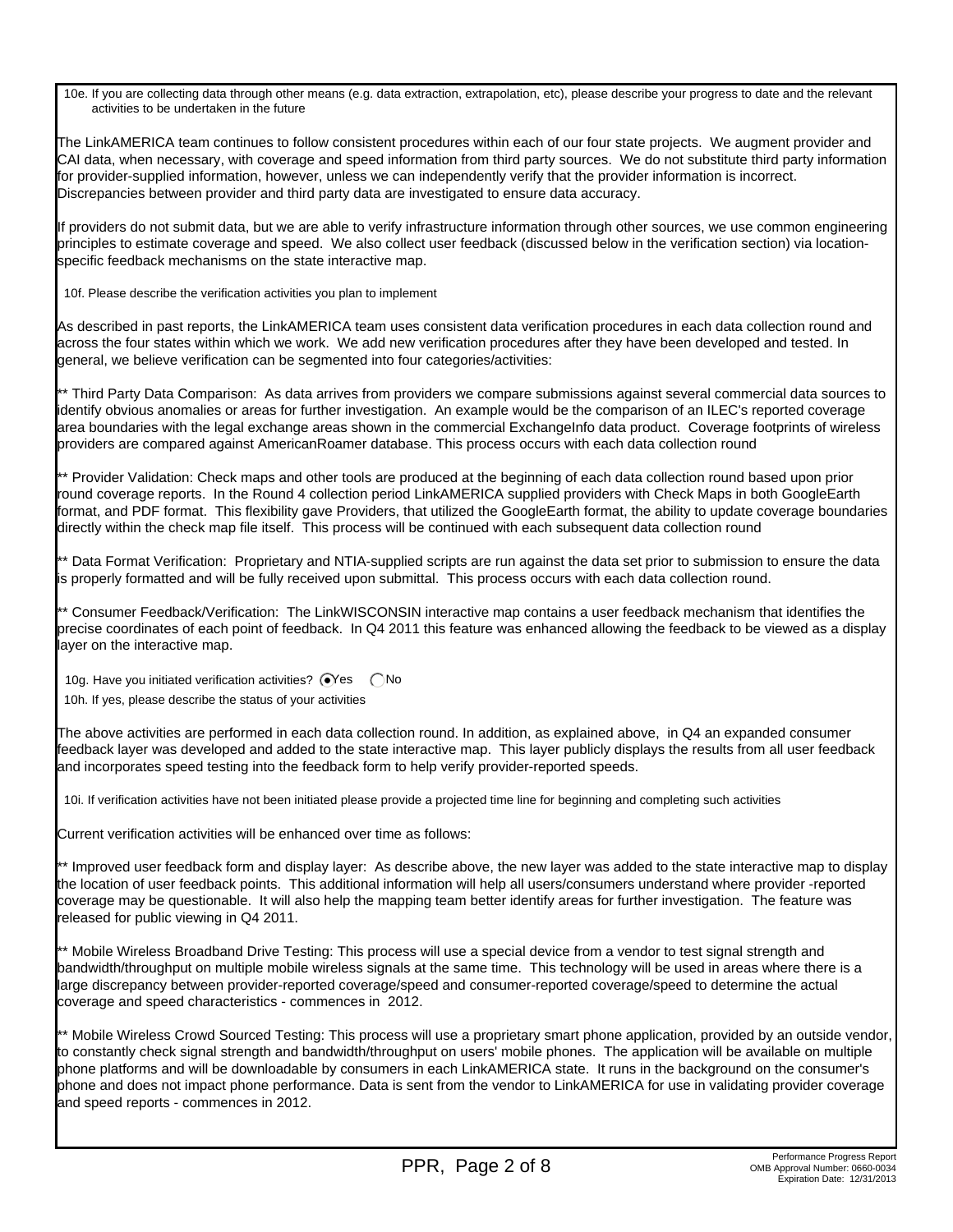10e. If you are collecting data through other means (e.g. data extraction, extrapolation, etc), please describe your progress to date and the relevant activities to be undertaken in the future

The LinkAMERICA team continues to follow consistent procedures within each of our four state projects. We augment provider and CAI data, when necessary, with coverage and speed information from third party sources. We do not substitute third party information for provider-supplied information, however, unless we can independently verify that the provider information is incorrect. Discrepancies between provider and third party data are investigated to ensure data accuracy.

If providers do not submit data, but we are able to verify infrastructure information through other sources, we use common engineering principles to estimate coverage and speed. We also collect user feedback (discussed below in the verification section) via locationspecific feedback mechanisms on the state interactive map.

10f. Please describe the verification activities you plan to implement

As described in past reports, the LinkAMERICA team uses consistent data verification procedures in each data collection round and across the four states within which we work. We add new verification procedures after they have been developed and tested. In general, we believe verification can be segmented into four categories/activities:

\*\* Third Party Data Comparison: As data arrives from providers we compare submissions against several commercial data sources to identify obvious anomalies or areas for further investigation. An example would be the comparison of an ILEC's reported coverage area boundaries with the legal exchange areas shown in the commercial ExchangeInfo data product. Coverage footprints of wireless providers are compared against AmericanRoamer database. This process occurs with each data collection round

\*\* Provider Validation: Check maps and other tools are produced at the beginning of each data collection round based upon prior round coverage reports. In the Round 4 collection period LinkAMERICA supplied providers with Check Maps in both GoogleEarth format, and PDF format. This flexibility gave Providers, that utilized the GoogleEarth format, the ability to update coverage boundaries directly within the check map file itself. This process will be continued with each subsequent data collection round

\*\* Data Format Verification: Proprietary and NTIA-supplied scripts are run against the data set prior to submission to ensure the data is properly formatted and will be fully received upon submittal. This process occurs with each data collection round.

\*\* Consumer Feedback/Verification: The LinkWISCONSIN interactive map contains a user feedback mechanism that identifies the precise coordinates of each point of feedback. In Q4 2011 this feature was enhanced allowing the feedback to be viewed as a display layer on the interactive map.

10g. Have you initiated verification activities?  $\bigcirc$ Yes  $\bigcirc$  No

10h. If yes, please describe the status of your activities

The above activities are performed in each data collection round. In addition, as explained above, in Q4 an expanded consumer feedback layer was developed and added to the state interactive map. This layer publicly displays the results from all user feedback and incorporates speed testing into the feedback form to help verify provider-reported speeds.

10i. If verification activities have not been initiated please provide a projected time line for beginning and completing such activities

Current verification activities will be enhanced over time as follows:

\*\* Improved user feedback form and display layer: As describe above, the new layer was added to the state interactive map to display the location of user feedback points. This additional information will help all users/consumers understand where provider -reported coverage may be questionable. It will also help the mapping team better identify areas for further investigation. The feature was released for public viewing in Q4 2011.

\*\* Mobile Wireless Broadband Drive Testing: This process will use a special device from a vendor to test signal strength and bandwidth/throughput on multiple mobile wireless signals at the same time. This technology will be used in areas where there is a large discrepancy between provider-reported coverage/speed and consumer-reported coverage/speed to determine the actual coverage and speed characteristics - commences in 2012.

\*\* Mobile Wireless Crowd Sourced Testing: This process will use a proprietary smart phone application, provided by an outside vendor, to constantly check signal strength and bandwidth/throughput on users' mobile phones. The application will be available on multiple phone platforms and will be downloadable by consumers in each LinkAMERICA state. It runs in the background on the consumer's phone and does not impact phone performance. Data is sent from the vendor to LinkAMERICA for use in validating provider coverage and speed reports - commences in 2012.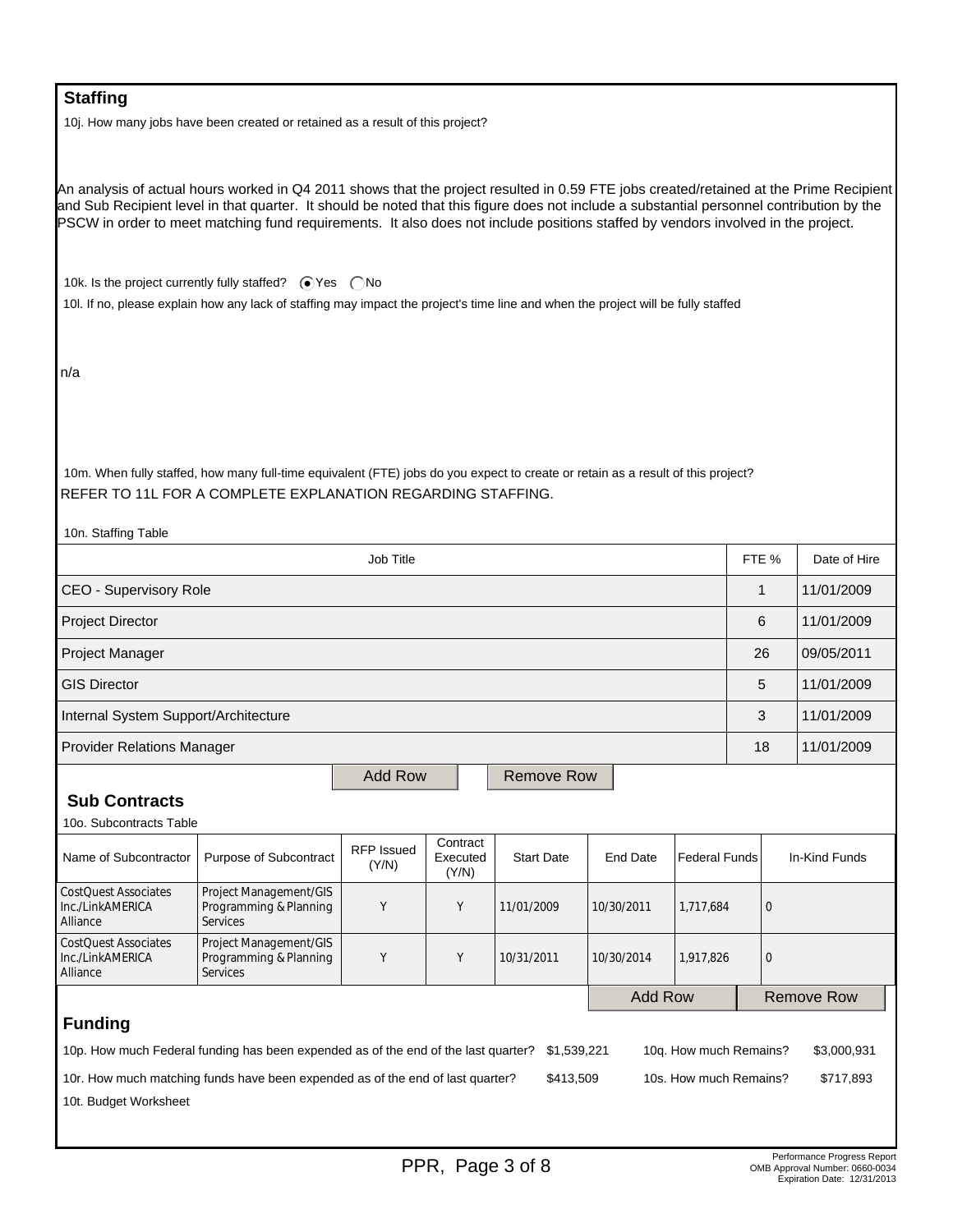## **Staffing**

10j. How many jobs have been created or retained as a result of this project?

An analysis of actual hours worked in Q4 2011 shows that the project resulted in 0.59 FTE jobs created/retained at the Prime Recipient and Sub Recipient level in that quarter. It should be noted that this figure does not include a substantial personnel contribution by the PSCW in order to meet matching fund requirements. It also does not include positions staffed by vendors involved in the project.

10k. Is the project currently fully staffed?  $\bigcirc$  Yes  $\bigcirc$  No

10l. If no, please explain how any lack of staffing may impact the project's time line and when the project will be fully staffed

n/a

10m. When fully staffed, how many full-time equivalent (FTE) jobs do you expect to create or retain as a result of this project? REFER TO 11L FOR A COMPLETE EXPLANATION REGARDING STAFFING.

| 10n. Staffing Table                                                                                                                        |                                                                     |                            |                               |                   |                 |                      |              |                   |
|--------------------------------------------------------------------------------------------------------------------------------------------|---------------------------------------------------------------------|----------------------------|-------------------------------|-------------------|-----------------|----------------------|--------------|-------------------|
| Job Title                                                                                                                                  |                                                                     |                            |                               |                   |                 |                      | FTE %        | Date of Hire      |
| CEO - Supervisory Role                                                                                                                     |                                                                     |                            |                               |                   |                 |                      | 1            | 11/01/2009        |
| Project Director                                                                                                                           |                                                                     |                            |                               |                   |                 |                      | 6            | 11/01/2009        |
| Project Manager                                                                                                                            |                                                                     |                            |                               |                   |                 |                      | 26           | 09/05/2011        |
| <b>GIS Director</b>                                                                                                                        |                                                                     |                            |                               |                   |                 |                      | 5            | 11/01/2009        |
| Internal System Support/Architecture                                                                                                       |                                                                     |                            |                               |                   |                 |                      | 3            | 11/01/2009        |
| <b>Provider Relations Manager</b>                                                                                                          |                                                                     |                            |                               |                   |                 |                      | 18           | 11/01/2009        |
|                                                                                                                                            | <b>Add Row</b><br><b>Remove Row</b>                                 |                            |                               |                   |                 |                      |              |                   |
| <b>Sub Contracts</b>                                                                                                                       |                                                                     |                            |                               |                   |                 |                      |              |                   |
| 10o. Subcontracts Table                                                                                                                    |                                                                     |                            |                               |                   |                 |                      |              |                   |
| Name of Subcontractor                                                                                                                      | Purpose of Subcontract                                              | <b>RFP</b> Issued<br>(Y/N) | Contract<br>Executed<br>(Y/N) | <b>Start Date</b> | <b>End Date</b> | <b>Federal Funds</b> |              | In-Kind Funds     |
| <b>CostQuest Associates</b><br>Inc./LinkAMERICA<br>Alliance                                                                                | Project Management/GIS<br>Programming & Planning<br><b>Services</b> | Y                          | Y                             | 11/01/2009        | 10/30/2011      | 1,717,684            | $\mathbf{0}$ |                   |
| <b>CostQuest Associates</b><br>Inc./LinkAMERICA<br>Alliance                                                                                | Project Management/GIS<br>Programming & Planning<br><b>Services</b> | Y                          | Υ                             | 10/31/2011        | 10/30/2014      | 1,917,826            | $\Omega$     |                   |
|                                                                                                                                            |                                                                     |                            |                               |                   | <b>Add Row</b>  |                      |              | <b>Remove Row</b> |
| <b>Funding</b>                                                                                                                             |                                                                     |                            |                               |                   |                 |                      |              |                   |
| 10p. How much Federal funding has been expended as of the end of the last quarter?<br>\$1,539,221<br>10q. How much Remains?<br>\$3,000,931 |                                                                     |                            |                               |                   |                 |                      |              |                   |
| \$413,509<br>10s. How much Remains?<br>\$717,893<br>10r. How much matching funds have been expended as of the end of last quarter?         |                                                                     |                            |                               |                   |                 |                      |              |                   |
| 10t. Budget Worksheet                                                                                                                      |                                                                     |                            |                               |                   |                 |                      |              |                   |
|                                                                                                                                            |                                                                     |                            |                               |                   |                 |                      |              |                   |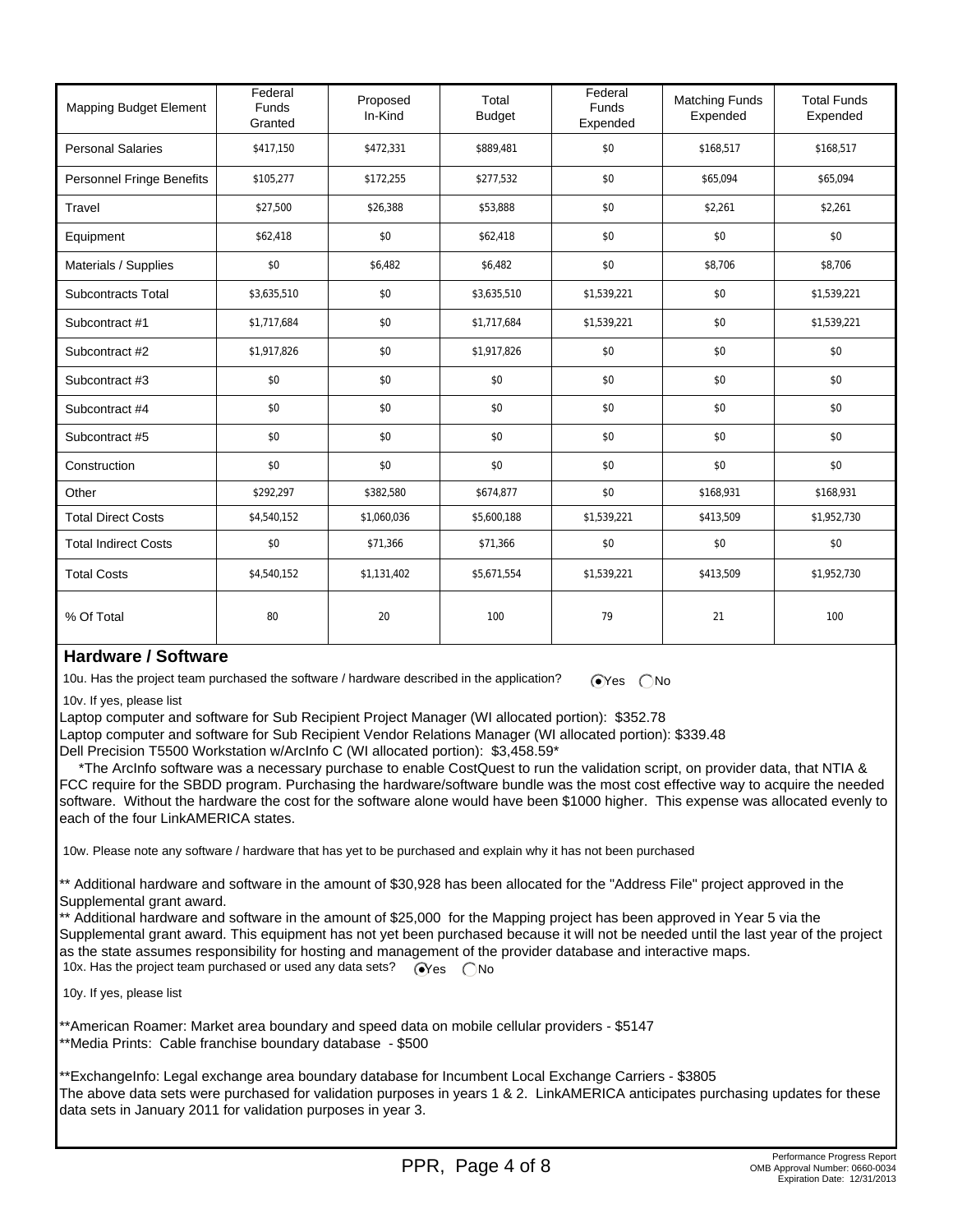| Mapping Budget Element           | Federal<br><b>Funds</b><br>Granted | Proposed<br>In-Kind | Total<br><b>Budget</b> | Federal<br>Funds<br>Expended | <b>Matching Funds</b><br>Expended | <b>Total Funds</b><br>Expended |
|----------------------------------|------------------------------------|---------------------|------------------------|------------------------------|-----------------------------------|--------------------------------|
| <b>Personal Salaries</b>         | \$417,150                          | \$472,331           | \$889,481              | \$0                          | \$168,517                         | \$168,517                      |
| <b>Personnel Fringe Benefits</b> | \$105,277                          | \$172,255           | \$277,532              | \$0                          | \$65,094                          | \$65,094                       |
| Travel                           | \$27,500                           | \$26,388            | \$53,888               | \$0                          | \$2,261                           | \$2,261                        |
| Equipment                        | \$62,418                           | \$0                 | \$62,418               | \$0                          | \$0                               | \$0                            |
| Materials / Supplies             | \$0                                | \$6,482             | \$6,482                | \$0                          | \$8,706                           | \$8,706                        |
| Subcontracts Total               | \$3,635,510                        | \$0                 | \$3,635,510            | \$1,539,221                  | \$0                               | \$1,539,221                    |
| Subcontract #1                   | \$1,717,684                        | \$0                 | \$1,717,684            | \$1,539,221                  | \$0                               | \$1,539,221                    |
| Subcontract #2                   | \$1,917,826                        | \$0                 | \$1,917,826            | \$0                          | \$0                               | \$0                            |
| Subcontract #3                   | \$0                                | \$0                 | \$0                    | \$0                          | \$0                               | \$0                            |
| Subcontract #4                   | \$0                                | \$0                 | \$0                    | \$0                          | \$0                               | \$0                            |
| Subcontract #5                   | \$0                                | \$0                 | \$0                    | \$0                          | \$0                               | \$0                            |
| Construction                     | \$0                                | \$0                 | \$0                    | \$0                          | \$0                               | \$0                            |
| Other                            | \$292,297                          | \$382,580           | \$674,877              | \$0                          | \$168,931                         | \$168,931                      |
| <b>Total Direct Costs</b>        | \$4,540,152                        | \$1,060,036         | \$5,600,188            | \$1,539,221                  | \$413,509                         | \$1,952,730                    |
| <b>Total Indirect Costs</b>      | \$0                                | \$71,366            | \$71,366               | \$0                          | \$0                               | \$0                            |
| <b>Total Costs</b>               | \$4,540,152                        | \$1,131,402         | \$5,671,554            | \$1,539,221                  | \$413,509                         | \$1,952,730                    |
| % Of Total                       | 80                                 | 20                  | 100                    | 79                           | 21                                | 100                            |

### **Hardware / Software**

10u. Has the project team purchased the software / hardware described in the application?  $\bigcirc$  Yes  $\bigcirc$  No

10v. If yes, please list

Laptop computer and software for Sub Recipient Project Manager (WI allocated portion): \$352.78

Laptop computer and software for Sub Recipient Vendor Relations Manager (WI allocated portion): \$339.48

Dell Precision T5500 Workstation w/ArcInfo C (WI allocated portion): \$3,458.59\*

 \*The ArcInfo software was a necessary purchase to enable CostQuest to run the validation script, on provider data, that NTIA & FCC require for the SBDD program. Purchasing the hardware/software bundle was the most cost effective way to acquire the needed software. Without the hardware the cost for the software alone would have been \$1000 higher. This expense was allocated evenly to each of the four LinkAMERICA states.

10w. Please note any software / hardware that has yet to be purchased and explain why it has not been purchased

\*\* Additional hardware and software in the amount of \$30,928 has been allocated for the "Address File" project approved in the Supplemental grant award.

\*\* Additional hardware and software in the amount of \$25,000 for the Mapping project has been approved in Year 5 via the Supplemental grant award. This equipment has not yet been purchased because it will not be needed until the last year of the project as the state assumes responsibility for hosting and management of the provider database and interactive maps. 10x. Has the project team purchased or used any data sets?  $\sqrt{\phantom{a}}\,\sqrt{\phantom{a}}\,$   $\gamma$ es  $\phantom{a}$  No

10y. If yes, please list

\*\*American Roamer: Market area boundary and speed data on mobile cellular providers - \$5147 \*\*Media Prints: Cable franchise boundary database - \$500

\*\*ExchangeInfo: Legal exchange area boundary database for Incumbent Local Exchange Carriers - \$3805 The above data sets were purchased for validation purposes in years 1 & 2. LinkAMERICA anticipates purchasing updates for these data sets in January 2011 for validation purposes in year 3.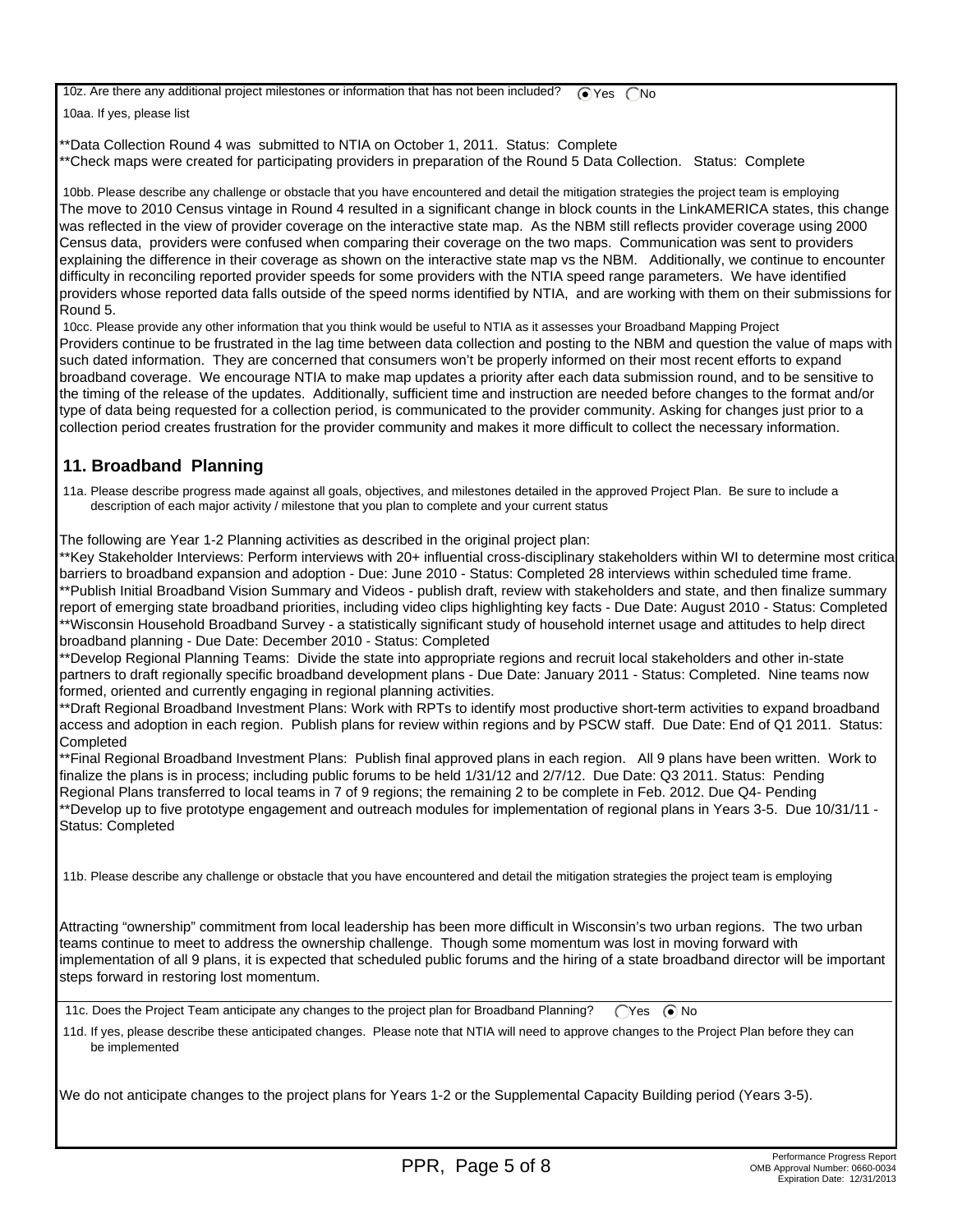10z. Are there any additional project milestones or information that has not been included?  $\bigcirc$  Yes  $\bigcirc$  No

10aa. If yes, please list

\*\*Data Collection Round 4 was submitted to NTIA on October 1, 2011. Status: Complete \*\*Check maps were created for participating providers in preparation of the Round 5 Data Collection. Status: Complete

 10bb. Please describe any challenge or obstacle that you have encountered and detail the mitigation strategies the project team is employing The move to 2010 Census vintage in Round 4 resulted in a significant change in block counts in the LinkAMERICA states, this change was reflected in the view of provider coverage on the interactive state map. As the NBM still reflects provider coverage using 2000 Census data, providers were confused when comparing their coverage on the two maps. Communication was sent to providers explaining the difference in their coverage as shown on the interactive state map vs the NBM. Additionally, we continue to encounter difficulty in reconciling reported provider speeds for some providers with the NTIA speed range parameters. We have identified providers whose reported data falls outside of the speed norms identified by NTIA, and are working with them on their submissions for Round 5.

 10cc. Please provide any other information that you think would be useful to NTIA as it assesses your Broadband Mapping Project Providers continue to be frustrated in the lag time between data collection and posting to the NBM and question the value of maps with such dated information. They are concerned that consumers won't be properly informed on their most recent efforts to expand broadband coverage. We encourage NTIA to make map updates a priority after each data submission round, and to be sensitive to the timing of the release of the updates. Additionally, sufficient time and instruction are needed before changes to the format and/or type of data being requested for a collection period, is communicated to the provider community. Asking for changes just prior to a collection period creates frustration for the provider community and makes it more difficult to collect the necessary information.

# **11. Broadband Planning**

 11a. Please describe progress made against all goals, objectives, and milestones detailed in the approved Project Plan. Be sure to include a description of each major activity / milestone that you plan to complete and your current status

The following are Year 1-2 Planning activities as described in the original project plan:

\*\*Key Stakeholder Interviews: Perform interviews with 20+ influential cross-disciplinary stakeholders within WI to determine most critical barriers to broadband expansion and adoption - Due: June 2010 - Status: Completed 28 interviews within scheduled time frame. \*\*Publish Initial Broadband Vision Summary and Videos - publish draft, review with stakeholders and state, and then finalize summary report of emerging state broadband priorities, including video clips highlighting key facts - Due Date: August 2010 - Status: Completed \*\*Wisconsin Household Broadband Survey - a statistically significant study of household internet usage and attitudes to help direct broadband planning - Due Date: December 2010 - Status: Completed

\*\*Develop Regional Planning Teams: Divide the state into appropriate regions and recruit local stakeholders and other in-state partners to draft regionally specific broadband development plans - Due Date: January 2011 - Status: Completed. Nine teams now formed, oriented and currently engaging in regional planning activities.

\*\*Draft Regional Broadband Investment Plans: Work with RPTs to identify most productive short-term activities to expand broadband access and adoption in each region. Publish plans for review within regions and by PSCW staff. Due Date: End of Q1 2011. Status: Completed

\*\*Final Regional Broadband Investment Plans: Publish final approved plans in each region. All 9 plans have been written. Work to finalize the plans is in process; including public forums to be held 1/31/12 and 2/7/12. Due Date: Q3 2011. Status: Pending Regional Plans transferred to local teams in 7 of 9 regions; the remaining 2 to be complete in Feb. 2012. Due Q4- Pending \*\*Develop up to five prototype engagement and outreach modules for implementation of regional plans in Years 3-5. Due 10/31/11 - Status: Completed

11b. Please describe any challenge or obstacle that you have encountered and detail the mitigation strategies the project team is employing

Attracting "ownership" commitment from local leadership has been more difficult in Wisconsin's two urban regions. The two urban teams continue to meet to address the ownership challenge. Though some momentum was lost in moving forward with implementation of all 9 plans, it is expected that scheduled public forums and the hiring of a state broadband director will be important steps forward in restoring lost momentum.

11c. Does the Project Team anticipate any changes to the project plan for Broadband Planning?  $\bigcirc$ Yes  $\bigcirc$ No

 11d. If yes, please describe these anticipated changes. Please note that NTIA will need to approve changes to the Project Plan before they can be implemented

We do not anticipate changes to the project plans for Years 1-2 or the Supplemental Capacity Building period (Years 3-5).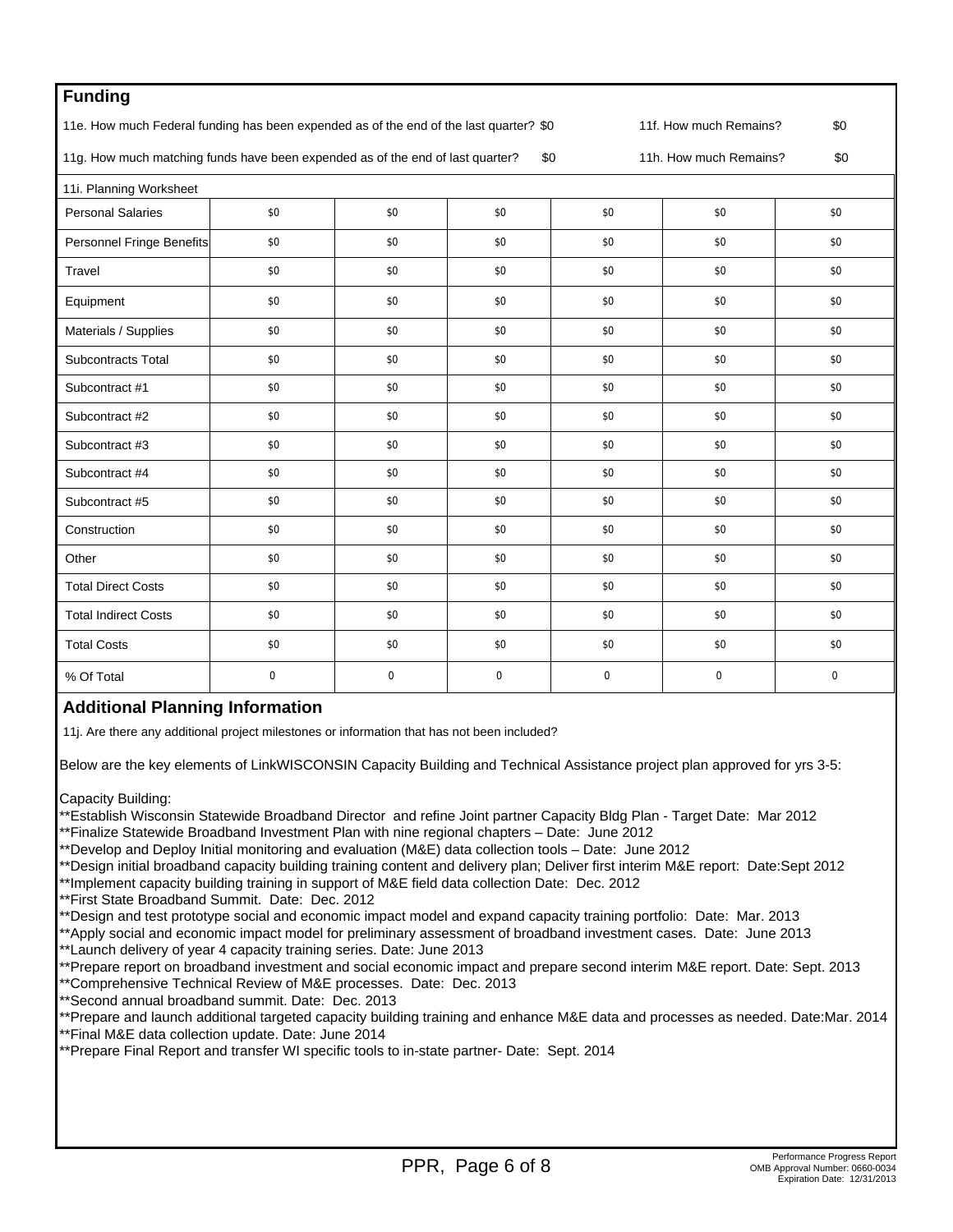| <b>Funding</b>                                                                                                          |             |             |          |          |          |             |  |
|-------------------------------------------------------------------------------------------------------------------------|-------------|-------------|----------|----------|----------|-------------|--|
| 11e. How much Federal funding has been expended as of the end of the last quarter? \$0<br>11f. How much Remains?<br>\$0 |             |             |          |          |          |             |  |
| 11g. How much matching funds have been expended as of the end of last quarter?<br>\$0<br>11h. How much Remains?         |             |             |          |          |          |             |  |
| 11i. Planning Worksheet                                                                                                 |             |             |          |          |          |             |  |
| <b>Personal Salaries</b>                                                                                                | \$0         | \$0         | \$0      | \$0      | \$0      | \$0         |  |
| Personnel Fringe Benefits                                                                                               | \$0         | \$0         | \$0      | \$0      | \$0      | \$0         |  |
| Travel                                                                                                                  | \$0         | \$0         | \$0      | \$0      | \$0      | \$0         |  |
| Equipment                                                                                                               | \$0         | \$0         | \$0      | \$0      | \$0      | \$0         |  |
| Materials / Supplies                                                                                                    | \$0         | \$0         | \$0      | \$0      | \$0      | \$0         |  |
| <b>Subcontracts Total</b>                                                                                               | \$0         | \$0         | \$0      | \$0      | \$0      | \$0         |  |
| Subcontract #1                                                                                                          | \$0         | \$0         | \$0      | \$0      | \$0      | \$0         |  |
| Subcontract #2                                                                                                          | \$0         | \$0         | \$0      | \$0      | \$0      | \$0         |  |
| Subcontract #3                                                                                                          | \$0         | \$0         | \$0      | \$0      | \$0      | \$0         |  |
| Subcontract #4                                                                                                          | \$0         | \$0         | \$0      | \$0      | \$0      | \$0         |  |
| Subcontract #5                                                                                                          | \$0         | \$0         | \$0      | \$0      | \$0      | \$0         |  |
| Construction                                                                                                            | \$0         | \$0         | \$0      | \$0      | \$0      | \$0         |  |
| Other                                                                                                                   | \$0         | \$0         | \$0      | \$0      | \$0      | \$0         |  |
| <b>Total Direct Costs</b>                                                                                               | \$0         | \$0         | \$0      | \$0      | \$0      | \$0         |  |
| <b>Total Indirect Costs</b>                                                                                             | \$0         | \$0         | \$0      | \$0      | \$0      | \$0         |  |
| <b>Total Costs</b>                                                                                                      | \$0         | \$0         | \$0      | \$0      | \$0      | \$0         |  |
| % Of Total                                                                                                              | $\mathbf 0$ | $\mathbf 0$ | $\Omega$ | $\Omega$ | $\Omega$ | $\mathbf 0$ |  |

# **Additional Planning Information**

11j. Are there any additional project milestones or information that has not been included?

Below are the key elements of LinkWISCONSIN Capacity Building and Technical Assistance project plan approved for yrs 3-5:

Capacity Building:

- \*\*Establish Wisconsin Statewide Broadband Director and refine Joint partner Capacity Bldg Plan Target Date: Mar 2012
- \*\*Finalize Statewide Broadband Investment Plan with nine regional chapters Date: June 2012
- \*\*Develop and Deploy Initial monitoring and evaluation (M&E) data collection tools Date: June 2012
- \*\*Design initial broadband capacity building training content and delivery plan; Deliver first interim M&E report: Date:Sept 2012
- \*\*Implement capacity building training in support of M&E field data collection Date: Dec. 2012
- \*\*First State Broadband Summit. Date: Dec. 2012
- \*\*Design and test prototype social and economic impact model and expand capacity training portfolio: Date: Mar. 2013
- \*\*Apply social and economic impact model for preliminary assessment of broadband investment cases. Date: June 2013 \*\*Launch delivery of year 4 capacity training series. Date: June 2013
- \*\*Prepare report on broadband investment and social economic impact and prepare second interim M&E report. Date: Sept. 2013
- \*\*Comprehensive Technical Review of M&E processes. Date: Dec. 2013
- \*\*Second annual broadband summit. Date: Dec. 2013
- \*\*Prepare and launch additional targeted capacity building training and enhance M&E data and processes as needed. Date:Mar. 2014
- \*\*Final M&E data collection update. Date: June 2014
- \*\*Prepare Final Report and transfer WI specific tools to in-state partner- Date: Sept. 2014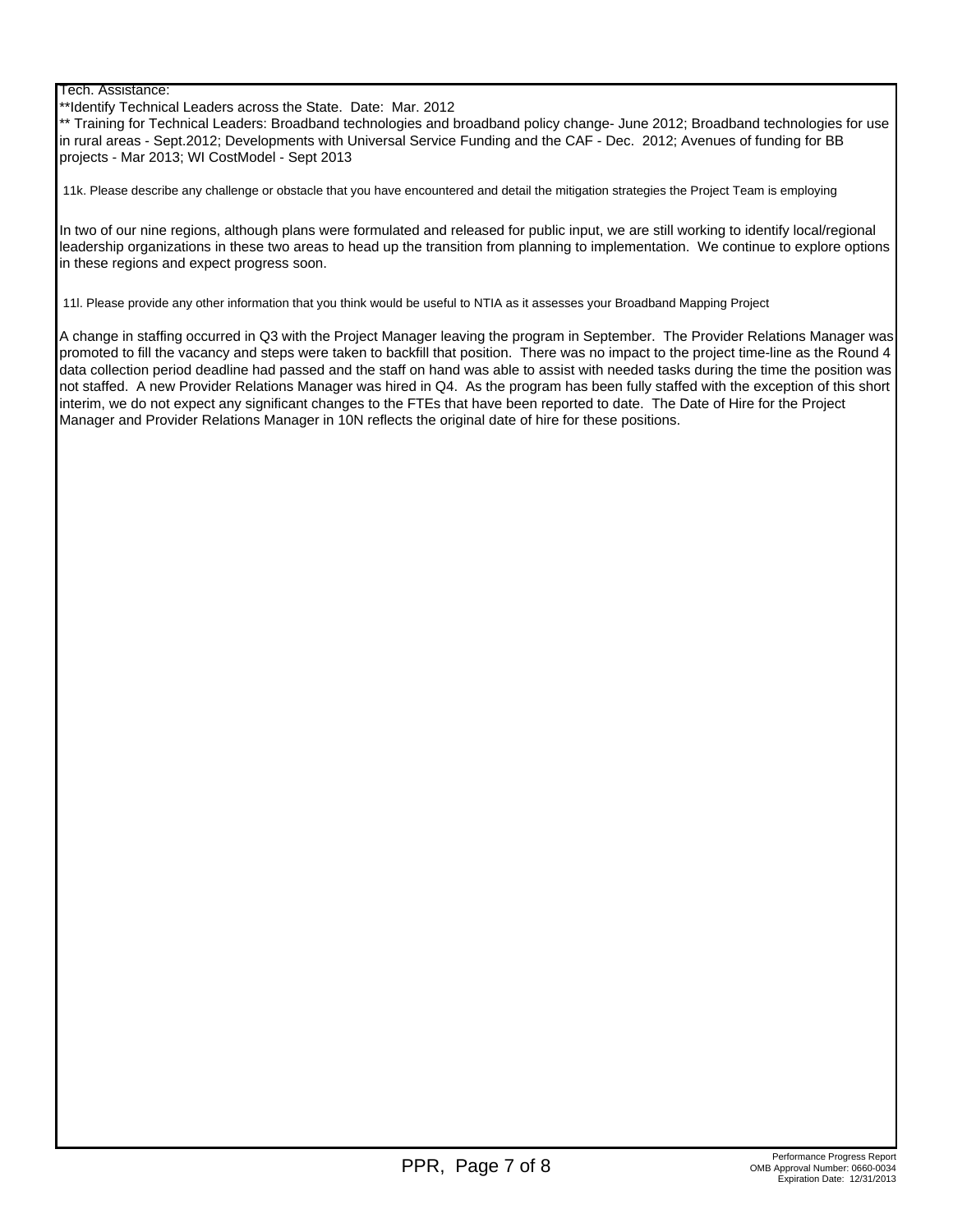#### Tech. Assistance:

\*\*Identify Technical Leaders across the State. Date: Mar. 2012

\*\* Training for Technical Leaders: Broadband technologies and broadband policy change- June 2012; Broadband technologies for use in rural areas - Sept.2012; Developments with Universal Service Funding and the CAF - Dec. 2012; Avenues of funding for BB projects - Mar 2013; WI CostModel - Sept 2013

11k. Please describe any challenge or obstacle that you have encountered and detail the mitigation strategies the Project Team is employing

In two of our nine regions, although plans were formulated and released for public input, we are still working to identify local/regional leadership organizations in these two areas to head up the transition from planning to implementation. We continue to explore options in these regions and expect progress soon.

11l. Please provide any other information that you think would be useful to NTIA as it assesses your Broadband Mapping Project

A change in staffing occurred in Q3 with the Project Manager leaving the program in September. The Provider Relations Manager was promoted to fill the vacancy and steps were taken to backfill that position. There was no impact to the project time-line as the Round 4 data collection period deadline had passed and the staff on hand was able to assist with needed tasks during the time the position was not staffed. A new Provider Relations Manager was hired in Q4. As the program has been fully staffed with the exception of this short interim, we do not expect any significant changes to the FTEs that have been reported to date. The Date of Hire for the Project Manager and Provider Relations Manager in 10N reflects the original date of hire for these positions.